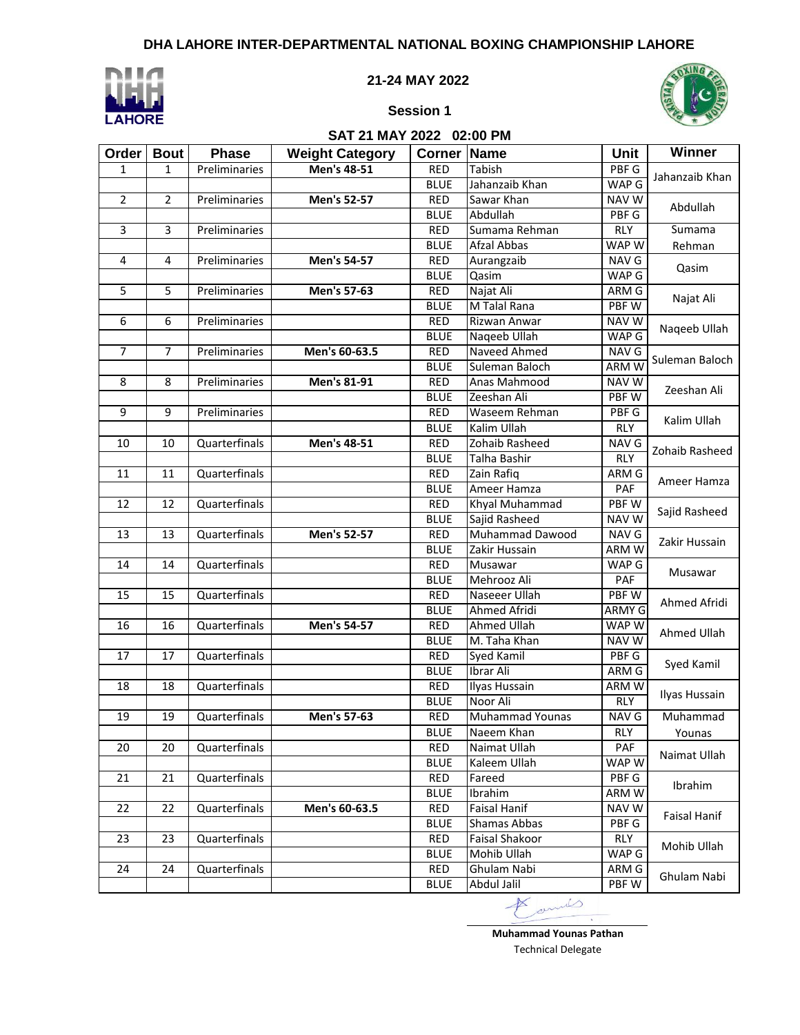

#### **21-24 MAY 2022**



# **Session 1**

**SAT 21 MAY 2022 02:00 PM**

**Order Bout Phase Weight Category Corner Name Unit Winner**

| $\mathbf{1}$                     | $\mathbf{1}$    | Preliminaries | Men's 48-51   | <b>RED</b>  | Tabish                 | PBF G        |                     |  |  |
|----------------------------------|-----------------|---------------|---------------|-------------|------------------------|--------------|---------------------|--|--|
|                                  |                 |               |               | <b>BLUE</b> | Jahanzaib Khan         | WAP G        | Jahanzaib Khan      |  |  |
| $\overline{2}$<br>$\overline{2}$ |                 | Preliminaries | Men's 52-57   | <b>RED</b>  | Sawar Khan             | <b>NAV W</b> |                     |  |  |
|                                  |                 |               |               | <b>BLUE</b> | Abdullah               | PBF G        | Abdullah            |  |  |
| 3                                | 3               | Preliminaries |               | <b>RED</b>  | Sumama Rehman          | <b>RLY</b>   | Sumama              |  |  |
|                                  |                 |               |               | <b>BLUE</b> | Afzal Abbas            | WAP W        | Rehman              |  |  |
| 4<br>4                           |                 | Preliminaries | Men's 54-57   | <b>RED</b>  | Aurangzaib             | NAV G        |                     |  |  |
|                                  |                 |               |               | <b>BLUE</b> | Qasim                  | WAP G        | Qasim               |  |  |
| 5                                | 5               | Preliminaries | Men's 57-63   | <b>RED</b>  | Najat Ali              | ARM G        |                     |  |  |
|                                  |                 |               |               | <b>BLUE</b> | M Talal Rana           | <b>PBFW</b>  | Najat Ali           |  |  |
| 6                                | 6               | Preliminaries |               | <b>RED</b>  | Rizwan Anwar           | <b>NAV W</b> |                     |  |  |
|                                  |                 |               |               | <b>BLUE</b> | Naqeeb Ullah           | WAP G        | Naqeeb Ullah        |  |  |
| $\overline{7}$                   | 7               | Preliminaries | Men's 60-63.5 | <b>RED</b>  | Naveed Ahmed           | NAV G        |                     |  |  |
|                                  |                 |               |               | <b>BLUE</b> | Suleman Baloch         | ARM W        | Suleman Baloch      |  |  |
| 8                                | 8               | Preliminaries | Men's 81-91   | <b>RED</b>  | Anas Mahmood           | <b>NAV W</b> |                     |  |  |
|                                  |                 |               |               | <b>BLUE</b> | Zeeshan Ali            | <b>PBFW</b>  | Zeeshan Ali         |  |  |
| 9                                | $\overline{9}$  | Preliminaries |               | <b>RED</b>  | Waseem Rehman          | PBF G        |                     |  |  |
|                                  |                 |               |               | <b>BLUE</b> | Kalim Ullah            | RLY          | Kalim Ullah         |  |  |
| 10                               | 10              | Quarterfinals | Men's 48-51   | <b>RED</b>  | Zohaib Rasheed         | NAV G        |                     |  |  |
|                                  |                 |               |               | <b>BLUE</b> | Talha Bashir           | <b>RLY</b>   | Zohaib Rasheed      |  |  |
| 11                               | 11              | Quarterfinals |               | <b>RED</b>  | Zain Rafiq             | ARM G        |                     |  |  |
|                                  |                 |               |               | <b>BLUE</b> | Ameer Hamza            | PAF          | Ameer Hamza         |  |  |
| 12                               | 12              | Quarterfinals |               | <b>RED</b>  | Khyal Muhammad         | <b>PBFW</b>  |                     |  |  |
|                                  |                 |               |               | <b>BLUE</b> | Sajid Rasheed          | <b>NAV W</b> | Sajid Rasheed       |  |  |
| 13                               | 13              | Quarterfinals | Men's 52-57   | <b>RED</b>  | Muhammad Dawood        | NAV G        |                     |  |  |
|                                  |                 |               |               | <b>BLUE</b> | Zakir Hussain          | <b>ARMW</b>  | Zakir Hussain       |  |  |
| 14                               | 14              | Quarterfinals |               | <b>RED</b>  | Musawar                | WAP G        |                     |  |  |
|                                  |                 |               |               | <b>BLUE</b> | Mehrooz Ali            | PAF          | Musawar             |  |  |
| 15                               | 15              | Quarterfinals |               | <b>RED</b>  | Naseeer Ullah          | PBF W        |                     |  |  |
|                                  |                 |               |               | <b>BLUE</b> | Ahmed Afridi           | ARMY G       | Ahmed Afridi        |  |  |
| 16                               | 16              | Quarterfinals | Men's 54-57   | <b>RED</b>  | Ahmed Ullah            | WAP W        |                     |  |  |
|                                  |                 |               |               | <b>BLUE</b> | M. Taha Khan           | <b>NAV W</b> | Ahmed Ullah         |  |  |
| 17<br>17                         |                 | Quarterfinals |               | <b>RED</b>  | Syed Kamil             | PBF G        |                     |  |  |
|                                  |                 |               |               | <b>BLUE</b> | Ibrar Ali              | ARM G        | Syed Kamil          |  |  |
| 18                               | 18              | Quarterfinals |               | <b>RED</b>  | <b>Ilyas Hussain</b>   | ARM W        |                     |  |  |
|                                  |                 |               |               | <b>BLUE</b> | Noor Ali               | <b>RLY</b>   | Ilyas Hussain       |  |  |
| 19                               | 19              | Quarterfinals | Men's 57-63   | <b>RED</b>  | <b>Muhammad Younas</b> | <b>NAV G</b> | Muhammad            |  |  |
|                                  |                 |               |               | <b>BLUE</b> | Naeem Khan             | <b>RLY</b>   | Younas              |  |  |
| $\overline{20}$                  | $\overline{20}$ | Quarterfinals |               | <b>RED</b>  | Naimat Ullah           | PAF          |                     |  |  |
|                                  |                 |               |               | <b>BLUE</b> | Kaleem Ullah           | WAP W        | Naimat Ullah        |  |  |
| 21                               | 21              | Quarterfinals |               | <b>RED</b>  | Fareed                 | PBF G        |                     |  |  |
|                                  |                 |               |               | <b>BLUE</b> | Ibrahim                | ARM W        | Ibrahim             |  |  |
| 22                               | 22              | Quarterfinals | Men's 60-63.5 | <b>RED</b>  | Faisal Hanif           | <b>NAV W</b> |                     |  |  |
|                                  |                 |               |               | <b>BLUE</b> | Shamas Abbas           | PBF G        | <b>Faisal Hanif</b> |  |  |
| 23                               | 23              | Quarterfinals |               | <b>RED</b>  | Faisal Shakoor<br>RLY  |              |                     |  |  |
|                                  |                 |               |               | <b>BLUE</b> | Mohib Ullah            | WAP G        | Mohib Ullah         |  |  |
| 24                               | 24              | Quarterfinals |               | <b>RED</b>  | Ghulam Nabi<br>ARM G   |              |                     |  |  |
|                                  |                 |               |               |             | Abdul Jalil            | PBF W        | Ghulam Nabi         |  |  |

**Muhammad Younas Pathan** Technical Delegate

 $\omega$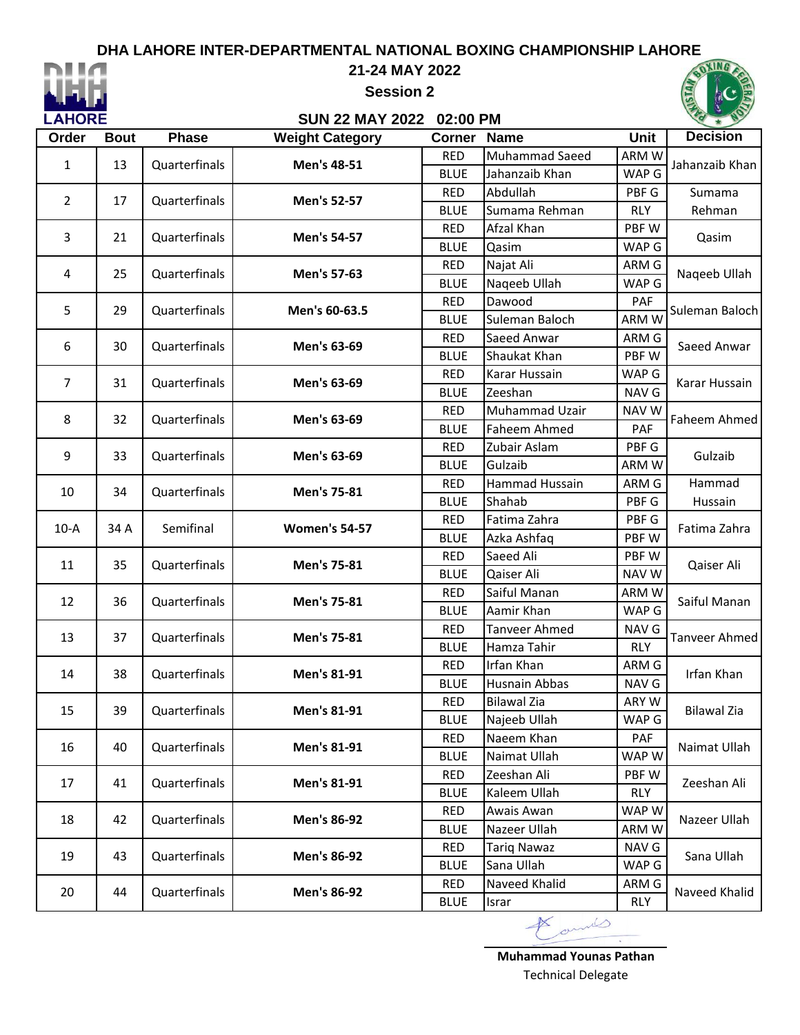

#### **21-24 MAY 2022**

**Session 2**



#### **SUN 22 MAY 2022 02:00 PM**

| Order  | <b>Bout</b> | <b>Phase</b>  | <b>Weight Category</b> | <b>Corner</b> | <b>Name</b>          | <b>Unit</b> | <b>Decision</b> |       |            |
|--------|-------------|---------------|------------------------|---------------|----------------------|-------------|-----------------|-------|------------|
|        | 13          | Quarterfinals | Men's 48-51            | <b>RED</b>    | Muhammad Saeed       | ARM W       | Jahanzaib Khan  |       |            |
| 1      |             |               |                        | <b>BLUE</b>   | Jahanzaib Khan       | WAP G       |                 |       |            |
|        |             |               |                        | <b>RED</b>    | Abdullah             | PBF G       | Sumama          |       |            |
| 2      | 17          | Quarterfinals | Men's 52-57            | <b>BLUE</b>   | Sumama Rehman        | <b>RLY</b>  | Rehman          |       |            |
|        |             | Quarterfinals |                        | <b>RED</b>    | Afzal Khan           | PBF W       |                 |       |            |
| 3      | 21          |               | Men's 54-57            | <b>BLUE</b>   | Qasim                | WAP G       | Qasim           |       |            |
| 4      | 25          | Quarterfinals | Men's 57-63            | <b>RED</b>    | Najat Ali            | ARM G       | Naqeeb Ullah    |       |            |
|        |             |               |                        | <b>BLUE</b>   | Naqeeb Ullah         | WAP G       |                 |       |            |
| 5      | 29          | Quarterfinals | Men's 60-63.5          | <b>RED</b>    | Dawood               | PAF         | Suleman Baloch  |       |            |
|        |             |               |                        | <b>BLUE</b>   | Suleman Baloch       | ARM W       |                 |       |            |
| 6      | 30          | Quarterfinals | Men's 63-69            | <b>RED</b>    | Saeed Anwar          | ARM G       | Saeed Anwar     |       |            |
|        |             |               |                        | <b>BLUE</b>   | Shaukat Khan         | PBF W       |                 |       |            |
| 7      | 31          | Quarterfinals | Men's 63-69            | <b>RED</b>    | Karar Hussain        | WAP G       | Karar Hussain   |       |            |
|        |             |               |                        | <b>BLUE</b>   | Zeeshan              | NAV G       |                 |       |            |
| 8      | 32          | Quarterfinals | Men's 63-69            | <b>RED</b>    | Muhammad Uzair       | NAV W       | Faheem Ahmed    |       |            |
|        |             |               |                        | <b>BLUE</b>   | <b>Faheem Ahmed</b>  | PAF         |                 |       |            |
| 9      | 33          | Quarterfinals | Men's 63-69            | <b>RED</b>    | Zubair Aslam         | PBF G       | Gulzaib         |       |            |
|        |             |               |                        | <b>BLUE</b>   | Gulzaib              | ARM W       |                 |       |            |
| 10     | 34          | Quarterfinals | Men's 75-81            | <b>RED</b>    | Hammad Hussain       | ARM G       | Hammad          |       |            |
|        |             |               |                        | <b>BLUE</b>   | Shahab               | PBF G       | Hussain         |       |            |
| $10-A$ | 34 A        | Semifinal     | <b>Women's 54-57</b>   | <b>RED</b>    | Fatima Zahra         | PBF G       | Fatima Zahra    |       |            |
|        |             |               |                        | <b>BLUE</b>   | Azka Ashfaq          | PBF W       |                 |       |            |
| 11     | 35          | Quarterfinals | Men's 75-81            | <b>RED</b>    | Saeed Ali            | PBF W       | Qaiser Ali      |       |            |
|        |             |               |                        | <b>BLUE</b>   | Qaiser Ali           | NAV W       |                 |       |            |
| 12     | 36          | Quarterfinals | Men's 75-81            | <b>RED</b>    | Saiful Manan         | ARM W       | Saiful Manan    |       |            |
|        |             |               |                        | <b>BLUE</b>   | Aamir Khan           | WAP G       |                 |       |            |
| 13     | 37          | Quarterfinals | Men's 75-81            | <b>RED</b>    | <b>Tanveer Ahmed</b> | NAV G       | Tanveer Ahmed   |       |            |
|        |             |               |                        | <b>BLUE</b>   | Hamza Tahir          | <b>RLY</b>  |                 |       |            |
| 14     | 38          |               |                        | Quarterfinals | Men's 81-91          | <b>RED</b>  | Irfan Khan      | ARM G | Irfan Khan |
|        |             |               |                        | <b>BLUE</b>   | <b>Husnain Abbas</b> | NAV G       |                 |       |            |
| 15     | 39          | Quarterfinals | Men's 81-91            | <b>RED</b>    | <b>Bilawal Zia</b>   | ARY W       | Bilawal Zia     |       |            |
|        |             |               |                        | <b>BLUE</b>   | Najeeb Ullah         | WAP G       |                 |       |            |
| 16     | 40          | Quarterfinals | Men's 81-91            | <b>RED</b>    | Naeem Khan           | PAF         | Naimat Ullah    |       |            |
|        |             |               |                        | <b>BLUE</b>   | Naimat Ullah         | WAP W       |                 |       |            |
| 17     | 41          | Quarterfinals | Men's 81-91            | <b>RED</b>    | Zeeshan Ali          | PBF W       | Zeeshan Ali     |       |            |
|        |             |               |                        | <b>BLUE</b>   | Kaleem Ullah         | <b>RLY</b>  |                 |       |            |
| 18     | 42          | Quarterfinals | Men's 86-92            | <b>RED</b>    | Awais Awan           | WAP W       | Nazeer Ullah    |       |            |
|        |             |               |                        | <b>BLUE</b>   | Nazeer Ullah         | ARM W       |                 |       |            |
| 19     | 43          | Quarterfinals | Men's 86-92            | <b>RED</b>    | <b>Tariq Nawaz</b>   | NAV G       | Sana Ullah      |       |            |
|        |             |               |                        | <b>BLUE</b>   | Sana Ullah           | WAP G       |                 |       |            |
| 20     | 44          | Quarterfinals | Men's 86-92            | <b>RED</b>    | Naveed Khalid        | ARM G       | Naveed Khalid   |       |            |
|        |             |               |                        | <b>BLUE</b>   | Israr                | <b>RLY</b>  |                 |       |            |

china

**Muhammad Younas Pathan** Technical Delegate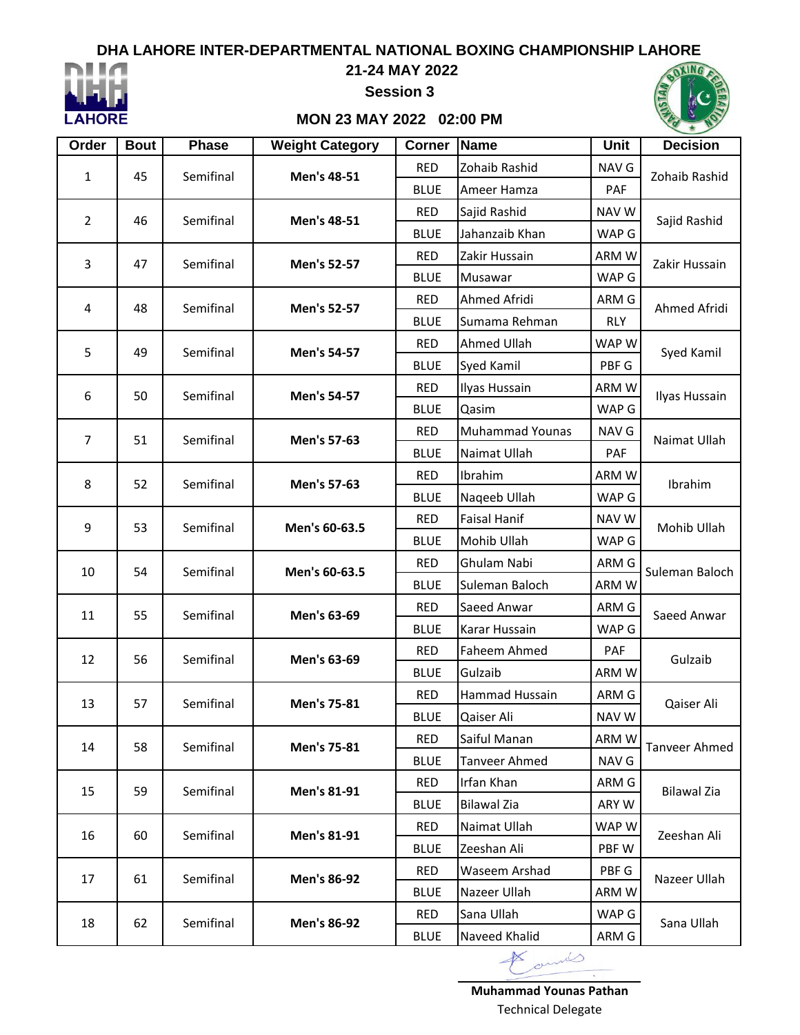

#### **21-24 MAY 2022**

**Session 3**

### **MON 23 MAY 2022 02:00 PM**

| Order          | <b>Bout</b> | <b>Phase</b> | <b>Weight Category</b> | <b>Corner</b> | Name                       | Unit         | <b>Decision</b>    |  |  |
|----------------|-------------|--------------|------------------------|---------------|----------------------------|--------------|--------------------|--|--|
| 45<br>1        |             | Semifinal    | Men's 48-51            | <b>RED</b>    | Zohaib Rashid              | NAV G        | Zohaib Rashid      |  |  |
|                |             |              |                        | <b>BLUE</b>   | Ameer Hamza                | PAF          |                    |  |  |
| $\overline{2}$ | 46          | Semifinal    | Men's 48-51            | <b>RED</b>    | Sajid Rashid               | <b>NAVW</b>  | Sajid Rashid       |  |  |
|                |             |              |                        | <b>BLUE</b>   | Jahanzaib Khan             | WAP G        |                    |  |  |
| 3              | 47          | Semifinal    | Men's 52-57            | <b>RED</b>    | Zakir Hussain              | ARM W        | Zakir Hussain      |  |  |
|                |             |              |                        | <b>BLUE</b>   | Musawar                    | WAP G        |                    |  |  |
| $\overline{4}$ | 48          | Semifinal    | Men's 52-57            | <b>RED</b>    | Ahmed Afridi               | ARM G        | Ahmed Afridi       |  |  |
|                |             |              |                        | <b>BLUE</b>   | Sumama Rehman              | <b>RLY</b>   |                    |  |  |
| 5              | 49          | Semifinal    | Men's 54-57            | <b>RED</b>    | Ahmed Ullah                | WAP W        | Syed Kamil         |  |  |
|                |             |              |                        | <b>BLUE</b>   | Syed Kamil                 | PBF G        |                    |  |  |
| 6              | 50          | Semifinal    | Men's 54-57            | <b>RED</b>    | Ilyas Hussain              | ARM W        |                    |  |  |
|                |             |              |                        | <b>BLUE</b>   | Qasim                      | WAP G        | Ilyas Hussain      |  |  |
| $\overline{7}$ | 51          | Semifinal    | Men's 57-63            | <b>RED</b>    | <b>Muhammad Younas</b>     | NAV G        | Naimat Ullah       |  |  |
|                |             |              |                        | <b>BLUE</b>   | Naimat Ullah               | <b>PAF</b>   |                    |  |  |
| 8              | 52          | Semifinal    | Men's 57-63            | <b>RED</b>    | Ibrahim                    | ARM W        | Ibrahim            |  |  |
|                |             |              |                        | <b>BLUE</b>   | Naqeeb Ullah               | WAP G        |                    |  |  |
| 9              | 53          | Semifinal    | Men's 60-63.5          | <b>RED</b>    | <b>Faisal Hanif</b>        | <b>NAV W</b> | Mohib Ullah        |  |  |
|                |             |              |                        | <b>BLUE</b>   | Mohib Ullah                | WAP G        |                    |  |  |
| 10             | 54          | Semifinal    | Men's 60-63.5          | <b>RED</b>    | Ghulam Nabi                | ARM G        | Suleman Baloch     |  |  |
|                |             |              |                        | <b>BLUE</b>   | Suleman Baloch             | ARM W        |                    |  |  |
| 11             | 55          | Semifinal    | Men's 63-69            | <b>RED</b>    | Saeed Anwar                | ARM G        | Saeed Anwar        |  |  |
|                |             |              |                        | <b>BLUE</b>   | Karar Hussain              | WAP G        |                    |  |  |
| 12             | 56          | Semifinal    | Men's 63-69            | <b>RED</b>    | Faheem Ahmed               | PAF          | Gulzaib            |  |  |
|                |             |              |                        | <b>BLUE</b>   | Gulzaib                    | ARM W        |                    |  |  |
| 13             | 57          | Semifinal    | Men's 75-81            | <b>RED</b>    | Hammad Hussain             | ARM G        | Qaiser Ali         |  |  |
|                |             |              |                        | <b>BLUE</b>   | Qaiser Ali                 | NAV W        |                    |  |  |
| 14             | 58          | Semifinal    | Men's 75-81            | <b>RED</b>    | Saiful Manan               | ARM W        | Tanveer Ahmed      |  |  |
|                |             |              |                        | <b>BLUE</b>   | <b>Tanveer Ahmed</b>       | NAV G        |                    |  |  |
| 15             | 59          | Semifinal    | Men's 81-91            | <b>RED</b>    | Irfan Khan                 | ARM G        | <b>Bilawal Zia</b> |  |  |
|                |             |              |                        | <b>BLUE</b>   | <b>Bilawal Zia</b>         | ARY W        |                    |  |  |
|                | 60          |              |                        | <b>RED</b>    | Naimat Ullah               | WAP W        | Zeeshan Ali        |  |  |
| 16             |             | Semifinal    | Men's 81-91            | <b>BLUE</b>   | Zeeshan Ali                | PBF W        |                    |  |  |
| 17             |             | Semifinal    | Men's 86-92            | <b>RED</b>    | Waseem Arshad              | PBF G        | Nazeer Ullah       |  |  |
|                | 61          |              |                        | <b>BLUE</b>   | Nazeer Ullah               | ARM W        |                    |  |  |
| 18             | 62          | Semifinal    | Men's 86-92            | <b>RED</b>    | Sana Ullah                 | WAP G        | Sana Ullah         |  |  |
|                |             |              |                        | <b>BLUE</b>   | Naveed Khalid              | ARM G        |                    |  |  |
|                |             |              |                        |               | $\mathbb{X}$<br>$\sqrt{2}$ |              |                    |  |  |

Technical Delegate **Muhammad Younas Pathan**

 $\overline{\phantom{a}}$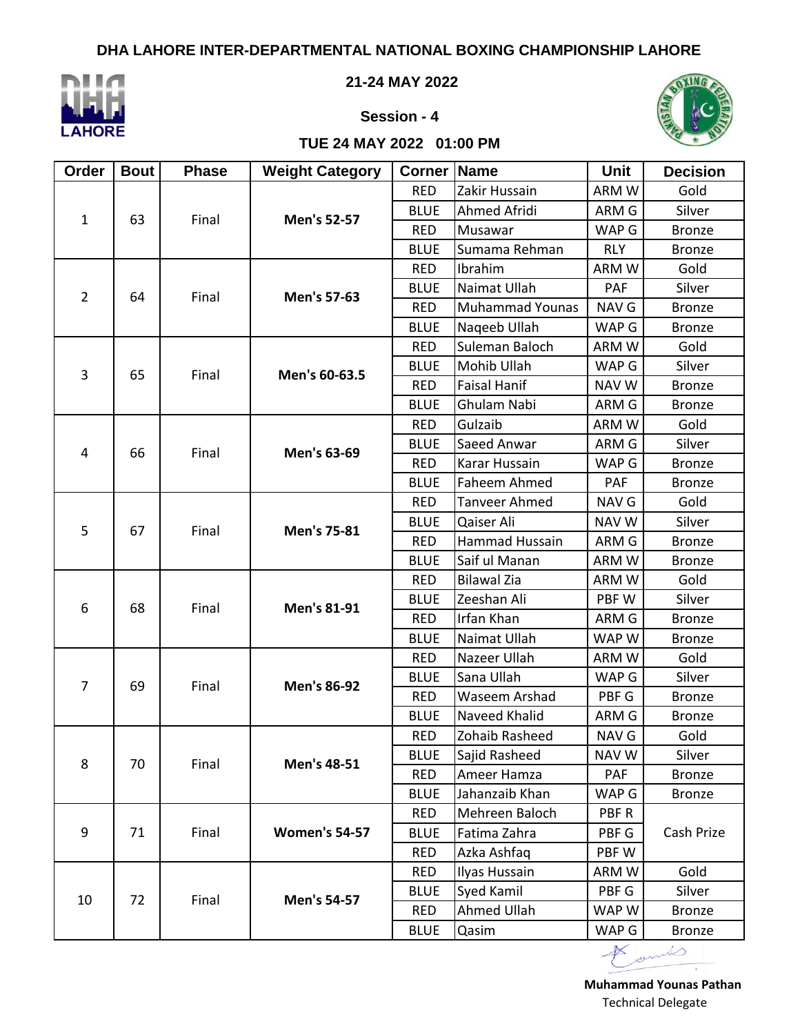

**21-24 MAY 2022**





#### **TUE 24 MAY 2022 01:00 PM**

| Order          | <b>Bout</b> | <b>Phase</b> | <b>Weight Category</b> | <b>Corner</b> | Name                   | <b>Unit</b>  | <b>Decision</b> |  |
|----------------|-------------|--------------|------------------------|---------------|------------------------|--------------|-----------------|--|
|                |             |              |                        | <b>RED</b>    | Zakir Hussain          | ARM W        |                 |  |
| $\mathbf{1}$   | 63          | Final        | Men's 52-57            | <b>BLUE</b>   | Ahmed Afridi           | ARM G        | Silver          |  |
|                |             |              |                        | <b>RED</b>    | Musawar                | WAP G        | <b>Bronze</b>   |  |
|                |             |              |                        | <b>BLUE</b>   | Sumama Rehman          | <b>RLY</b>   | <b>Bronze</b>   |  |
|                |             |              |                        | <b>RED</b>    | Ibrahim                | ARM W        | Gold            |  |
| $\overline{2}$ | 64          | Final        | Men's 57-63            | <b>BLUE</b>   | Naimat Ullah           | PAF          | Silver          |  |
|                |             |              |                        | <b>RED</b>    | <b>Muhammad Younas</b> | <b>NAV G</b> | <b>Bronze</b>   |  |
|                |             |              |                        | <b>BLUE</b>   | Naqeeb Ullah           | WAP G        | <b>Bronze</b>   |  |
|                |             |              |                        | <b>RED</b>    | Suleman Baloch         | ARM W        | Gold            |  |
| 3              | 65          | Final        | Men's 60-63.5          | <b>BLUE</b>   | Mohib Ullah            | WAP G        | Silver          |  |
|                |             |              |                        | <b>RED</b>    | <b>Faisal Hanif</b>    | NAV W        | <b>Bronze</b>   |  |
|                |             |              |                        | <b>BLUE</b>   | Ghulam Nabi            | ARM G        | <b>Bronze</b>   |  |
|                |             |              |                        | <b>RED</b>    | Gulzaib                | ARM W        | Gold            |  |
| 4              | 66          | Final        | Men's 63-69            | <b>BLUE</b>   | Saeed Anwar            | ARM G        | Silver          |  |
|                |             |              |                        | <b>RED</b>    | Karar Hussain          | WAP G        | <b>Bronze</b>   |  |
|                |             |              |                        | <b>BLUE</b>   | Faheem Ahmed           | <b>PAF</b>   | <b>Bronze</b>   |  |
| 5              | 67          | Final        |                        | <b>RED</b>    | <b>Tanveer Ahmed</b>   | NAV G        | Gold            |  |
|                |             |              | Men's 75-81            | <b>BLUE</b>   | Qaiser Ali             | NAV W        | Silver          |  |
|                |             |              |                        | <b>RED</b>    | Hammad Hussain         | ARM G        | <b>Bronze</b>   |  |
|                |             |              |                        | <b>BLUE</b>   | Saif ul Manan          | ARM W        | <b>Bronze</b>   |  |
|                |             | Final        | Men's 81-91            | <b>RED</b>    | <b>Bilawal Zia</b>     | ARM W        | Gold            |  |
| 6              | 68          |              |                        | <b>BLUE</b>   | Zeeshan Ali            | PBF W        | Silver          |  |
|                |             |              |                        | <b>RED</b>    | Irfan Khan             | ARM G        | <b>Bronze</b>   |  |
|                |             |              |                        | <b>BLUE</b>   | Naimat Ullah           | WAP W        | <b>Bronze</b>   |  |
|                |             | Final        |                        | <b>RED</b>    | Nazeer Ullah           | ARM W        | Gold            |  |
| 7              | 69          |              | <b>Men's 86-92</b>     | <b>BLUE</b>   | Sana Ullah             | WAP G        | Silver          |  |
|                |             |              |                        | <b>RED</b>    | Waseem Arshad          | PBF G        | <b>Bronze</b>   |  |
|                |             |              |                        | <b>BLUE</b>   | Naveed Khalid          | ARM G        | <b>Bronze</b>   |  |
|                | 70          |              |                        | <b>RED</b>    | Zohaib Rasheed         | NAV G        | Gold            |  |
| 8              |             | Final        | Men's 48-51            | <b>BLUE</b>   | Sajid Rasheed          | NAV W        | Silver          |  |
|                |             |              |                        | <b>RED</b>    | Ameer Hamza            | PAF          | <b>Bronze</b>   |  |
|                |             |              |                        | <b>BLUE</b>   | Jahanzaib Khan         | WAP G        | <b>Bronze</b>   |  |
|                |             |              |                        | <b>RED</b>    | Mehreen Baloch         | PBF R        |                 |  |
| 9              | 71          | Final        | <b>Women's 54-57</b>   | <b>BLUE</b>   | Fatima Zahra           | PBF G        | Cash Prize      |  |
|                |             |              |                        | <b>RED</b>    | Azka Ashfaq            | PBF W        |                 |  |
|                |             |              |                        | <b>RED</b>    | Ilyas Hussain          | ARM W        | Gold            |  |
| 10             | 72          |              | <b>Men's 54-57</b>     | <b>BLUE</b>   | Syed Kamil             | PBF G        | Silver          |  |
|                |             | Final        |                        | <b>RED</b>    | Ahmed Ullah            | WAP W        | <b>Bronze</b>   |  |
|                |             |              |                        | <b>BLUE</b>   | Qasim                  | WAP G        | <b>Bronze</b>   |  |

I amil